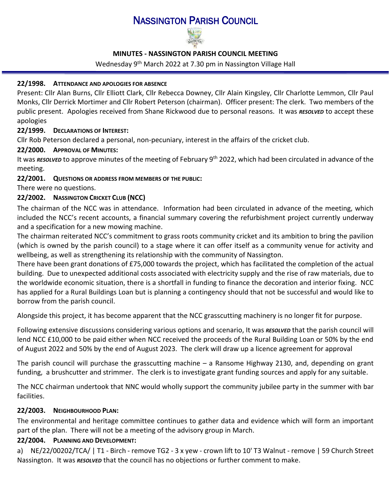# NASSINGTON PARISH COUNCIL



## **MINUTES - NASSINGTON PARISH COUNCIL MEETING**

## Wednesday 9<sup>th</sup> March 2022 at 7.30 pm in Nassington Village Hall

## **22/1998. ATTENDANCE AND APOLOGIES FOR ABSENCE**

Present: Cllr Alan Burns, Cllr Elliott Clark, Cllr Rebecca Downey, Cllr Alain Kingsley, Cllr Charlotte Lemmon, Cllr Paul Monks, Cllr Derrick Mortimer and Cllr Robert Peterson (chairman). Officer present: The clerk. Two members of the public present. Apologies received from Shane Rickwood due to personal reasons. It was *RESOLVED* to accept these apologies

# **22/1999. D[ECLARATIONS OF](http://www.east-northamptonshire.gov.uk/info/723/parish_and_town_councils/1464/deene_and_deenethorpe_parish_council) INTEREST:**

Cllr Rob Peterson declared a personal, non-pecuniary, interest in the affairs of the cricket club.

# **22/2000. APPROVAL OF MINUTES:**

It was *RESOLVED* to approve minutes of the meeting of February 9<sup>th</sup> 2022, which had been circulated in advance of the meeting.

**22/2001. QUESTIONS OR ADDRESS FROM MEMBERS OF THE PUBLIC:** 

There were no questions.

# **22/2002. NASSINGTON CRICKET CLUB (NCC)**

The chairman of the NCC was in attendance. Information had been circulated in advance of the meeting, which included the NCC's recent accounts, a financial summary covering the refurbishment project currently underway and a specification for a new mowing machine.

The chairman reiterated NCC's commitment to grass roots community cricket and its ambition to bring the pavilion (which is owned by the parish council) to a stage where it can offer itself as a community venue for activity and wellbeing, as well as strengthening its relationship with the community of Nassington.

There have been grant donations of £75,000 towards the project, which has facilitated the completion of the actual building. Due to unexpected additional costs associated with electricity supply and the rise of raw materials, due to the worldwide economic situation, there is a shortfall in funding to finance the decoration and interior fixing. NCC has applied for a Rural Buildings Loan but is planning a contingency should that not be successful and would like to borrow from the parish council.

Alongside this project, it has become apparent that the NCC grasscutting machinery is no longer fit for purpose.

Following extensive discussions considering various options and scenario, It was *RESOLVED* that the parish council will lend NCC £10,000 to be paid either when NCC received the proceeds of the Rural Building Loan or 50% by the end of August 2022 and 50% by the end of August 2023. The clerk will draw up a licence agreement for approval

The parish council will purchase the grasscutting machine – a Ransome Highway 2130, and, depending on grant funding, a brushcutter and strimmer. The clerk is to investigate grant funding sources and apply for any suitable.

The NCC chairman undertook that NNC would wholly support the community jubilee party in the summer with bar facilities.

# **22/2003. NEIGHBOURHOOD PLAN:**

The environmental and heritage committee continues to gather data and evidence which will form an important part of the plan. There will not be a meeting of the advisory group in March.

## **22/2004. PLANNING AND DEVELOPMENT:**

a) NE/22/00202/TCA/ | T1 - Birch - remove TG2 - 3 x yew - crown lift to 10' T3 Walnut - remove | 59 Church Street Nassington. It was *RESOLVED* that the council has no objections or further comment to make.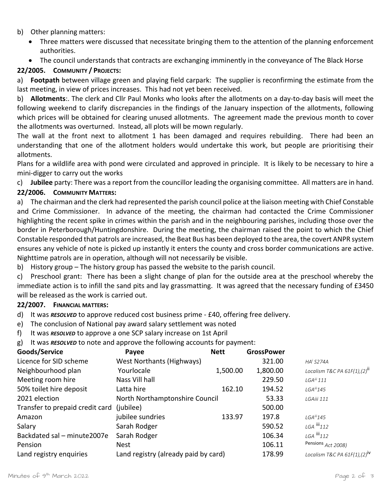#### b) Other planning matters:

- Three matters were discussed that necessitate bringing them to the attention of the planning enforcement authorities.
- The council understands that contracts are exchanging imminently in the conveyance of The Black Horse

## **22/2005. COMMUNITY / PROJECTS:**

a) **Footpath** between village green and playing field carpark: The supplier is reconfirming the estimate from the last meeting, in view of prices increases. This had not yet been received.

b) **Allotments**:. The clerk and Cllr Paul Monks who looks after the allotments on a day-to-day basis will meet the following weekend to clarify discrepancies in the findings of the January inspection of the allotments, following which prices will be obtained for clearing unused allotments. The agreement made the previous month to cover the allotments was overturned. Instead, all plots will be mown regularly.

The wall at the front next to allotment 1 has been damaged and requires rebuilding. There had been an understanding that one of the allotment holders would undertake this work, but people are prioritising their allotments.

Plans for a wildlife area with pond were circulated and approved in principle. It is likely to be necessary to hire a mini-digger to carry out the works

c) **Jubilee** party: There was a report from the councillor leading the organising committee. All matters are in hand.

# **22/2006. COMMUNITY MATTERS:**

a) The chairman and the clerk had represented the parish council police at the liaison meeting with Chief Constable and Crime Commissioner. In advance of the meeting, the chairman had contacted the Crime Commissioner highlighting the recent spike in crimes within the parish and in the neighbouring parishes, including those over the border in Peterborough/Huntingdonshire. During the meeting, the chairman raised the point to which the Chief Constable responded that patrols are increased, the Beat Bus has been deployed to the area, the covert ANPR system ensures any vehicle of note is picked up instantly it enters the county and cross border communications are active. Nighttime patrols are in operation, although will not necessarily be visible.

b) History group – The history group has passed the website to the parish council.

c) Preschool grant: There has been a slight change of plan for the outside area at the preschool whereby the immediate action is to infill the sand pits and lay grassmatting. It was agreed that the necessary funding of £3450 will be released as the work is carried out.

## **22/2007. FINANCIAL MATTERS:**

- d) It was *RESOLVED* to approve reduced cost business prime £40, offering free delivery.
- e) The conclusion of National pay award salary settlement was noted
- f) It was *RESOLVED* to approve a one SCP salary increase on 1st April
- g) It was *RESOLVED* to note and approve the following accounts for payment:

<span id="page-1-0"></span>

| Goods/Service                   | Payee                                | <b>Nett</b> | <b>GrossPower</b> |                                          |
|---------------------------------|--------------------------------------|-------------|-------------------|------------------------------------------|
| Licence for SID scheme          | West Northants (Highways)            |             | 321.00            | $HAi$ S274A                              |
| Neighbourhood plan              | Yourlocale                           | 1,500.00    | 1,800.00          | Localism T&C PA $61F(1)$ , $(2)^{11}$    |
| Meeting room hire               | Nass Vill hall                       |             | 229.50            | $LGA^{iii}$ 111                          |
| 50% toilet hire deposit         | Latta hire                           | 162.10      | 194.52            | $LGA^{iii}$ 145                          |
| 2021 election                   | North Northamptonshire Council       |             | 53.33             | LGAiii 111                               |
| Transfer to prepaid credit card | (jubilee)                            |             | 500.00            |                                          |
| Amazon                          | jubilee sundries                     | 133.97      | 197.8             | $LGA^{iii}$ 145                          |
| Salary                          | Sarah Rodger                         |             | 590.52            | $LGA$ $  $ $112$                         |
| Backdated sal - minute2007e     | Sarah Rodger                         |             | 106.34            | $LGA$ $  $ $112$                         |
| Pension                         | <b>Nest</b>                          |             | 106.11            | Pensions Act 2008)                       |
| Land registry enquiries         | Land registry (already paid by card) |             | 178.99            | Localism T&C PA 61F(1),(2) <sup>iv</sup> |